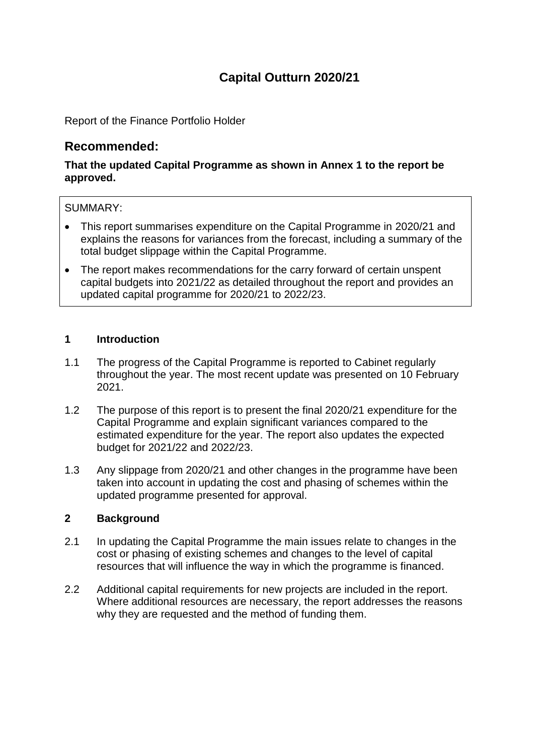# **Capital Outturn 2020/21**

Report of the Finance Portfolio Holder

# **Recommended:**

# **That the updated Capital Programme as shown in Annex 1 to the report be approved.**

#### SUMMARY:

- This report summarises expenditure on the Capital Programme in 2020/21 and explains the reasons for variances from the forecast, including a summary of the total budget slippage within the Capital Programme.
- The report makes recommendations for the carry forward of certain unspent capital budgets into 2021/22 as detailed throughout the report and provides an updated capital programme for 2020/21 to 2022/23.

#### **1 Introduction**

- 1.1 The progress of the Capital Programme is reported to Cabinet regularly throughout the year. The most recent update was presented on 10 February 2021.
- 1.2 The purpose of this report is to present the final 2020/21 expenditure for the Capital Programme and explain significant variances compared to the estimated expenditure for the year. The report also updates the expected budget for 2021/22 and 2022/23.
- 1.3 Any slippage from 2020/21 and other changes in the programme have been taken into account in updating the cost and phasing of schemes within the updated programme presented for approval.

# **2 Background**

- 2.1 In updating the Capital Programme the main issues relate to changes in the cost or phasing of existing schemes and changes to the level of capital resources that will influence the way in which the programme is financed.
- 2.2 Additional capital requirements for new projects are included in the report. Where additional resources are necessary, the report addresses the reasons why they are requested and the method of funding them.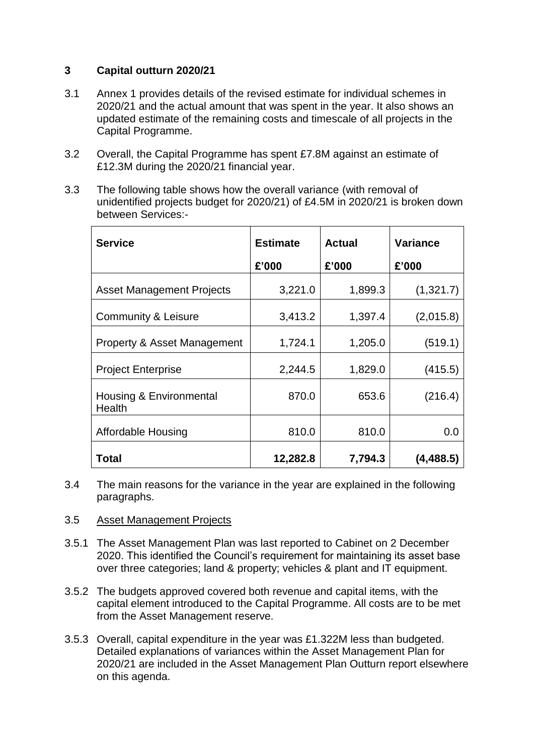# **3 Capital outturn 2020/21**

- 3.1 Annex 1 provides details of the revised estimate for individual schemes in 2020/21 and the actual amount that was spent in the year. It also shows an updated estimate of the remaining costs and timescale of all projects in the Capital Programme.
- 3.2 Overall, the Capital Programme has spent £7.8M against an estimate of £12.3M during the 2020/21 financial year.
- 3.3 The following table shows how the overall variance (with removal of unidentified projects budget for 2020/21) of £4.5M in 2020/21 is broken down between Services:-

| <b>Service</b>                         | <b>Estimate</b> | <b>Actual</b> | <b>Variance</b> |
|----------------------------------------|-----------------|---------------|-----------------|
|                                        | £'000           | £'000         | £'000           |
| <b>Asset Management Projects</b>       | 3,221.0         | 1,899.3       | (1,321.7)       |
| Community & Leisure                    | 3,413.2         | 1,397.4       | (2,015.8)       |
| <b>Property &amp; Asset Management</b> | 1,724.1         | 1,205.0       | (519.1)         |
| <b>Project Enterprise</b>              | 2,244.5         | 1,829.0       | (415.5)         |
| Housing & Environmental<br>Health      | 870.0           | 653.6         | (216.4)         |
| Affordable Housing                     | 810.0           | 810.0         | 0.0             |
| Total                                  | 12,282.8        | 7,794.3       | (4, 488.5)      |

3.4 The main reasons for the variance in the year are explained in the following paragraphs.

#### 3.5 Asset Management Projects

- 3.5.1 The Asset Management Plan was last reported to Cabinet on 2 December 2020. This identified the Council's requirement for maintaining its asset base over three categories; land & property; vehicles & plant and IT equipment.
- 3.5.2 The budgets approved covered both revenue and capital items, with the capital element introduced to the Capital Programme. All costs are to be met from the Asset Management reserve.
- 3.5.3 Overall, capital expenditure in the year was £1.322M less than budgeted. Detailed explanations of variances within the Asset Management Plan for 2020/21 are included in the Asset Management Plan Outturn report elsewhere on this agenda.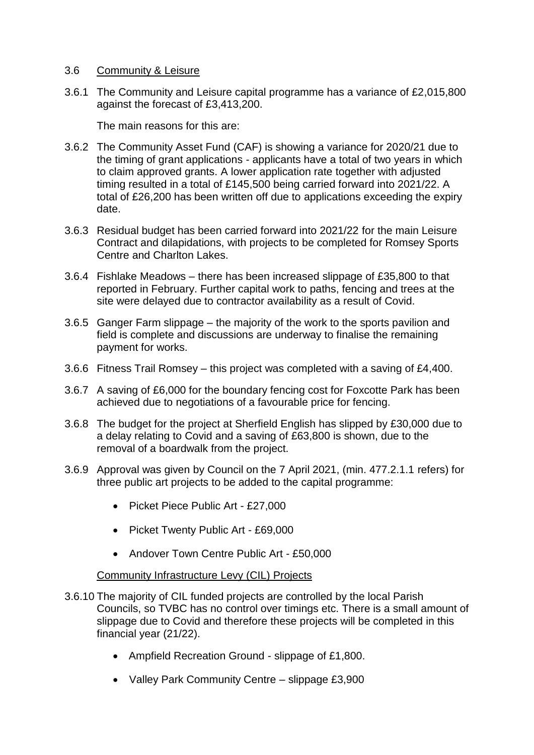#### 3.6 Community & Leisure

3.6.1 The Community and Leisure capital programme has a variance of £2,015,800 against the forecast of £3,413,200.

The main reasons for this are:

- 3.6.2 The Community Asset Fund (CAF) is showing a variance for 2020/21 due to the timing of grant applications - applicants have a total of two years in which to claim approved grants. A lower application rate together with adjusted timing resulted in a total of £145,500 being carried forward into 2021/22. A total of £26,200 has been written off due to applications exceeding the expiry date.
- 3.6.3 Residual budget has been carried forward into 2021/22 for the main Leisure Contract and dilapidations, with projects to be completed for Romsey Sports Centre and Charlton Lakes.
- 3.6.4 Fishlake Meadows there has been increased slippage of £35,800 to that reported in February. Further capital work to paths, fencing and trees at the site were delayed due to contractor availability as a result of Covid.
- 3.6.5 Ganger Farm slippage the majority of the work to the sports pavilion and field is complete and discussions are underway to finalise the remaining payment for works.
- 3.6.6 Fitness Trail Romsey this project was completed with a saving of £4,400.
- 3.6.7 A saving of £6,000 for the boundary fencing cost for Foxcotte Park has been achieved due to negotiations of a favourable price for fencing.
- 3.6.8 The budget for the project at Sherfield English has slipped by £30,000 due to a delay relating to Covid and a saving of £63,800 is shown, due to the removal of a boardwalk from the project.
- 3.6.9 Approval was given by Council on the 7 April 2021, (min. 477.2.1.1 refers) for three public art projects to be added to the capital programme:
	- Picket Piece Public Art £27,000
	- Picket Twenty Public Art £69,000
	- Andover Town Centre Public Art £50,000

#### Community Infrastructure Levy (CIL) Projects

- 3.6.10 The majority of CIL funded projects are controlled by the local Parish Councils, so TVBC has no control over timings etc. There is a small amount of slippage due to Covid and therefore these projects will be completed in this financial year (21/22).
	- Ampfield Recreation Ground slippage of £1,800.
	- Valley Park Community Centre slippage £3,900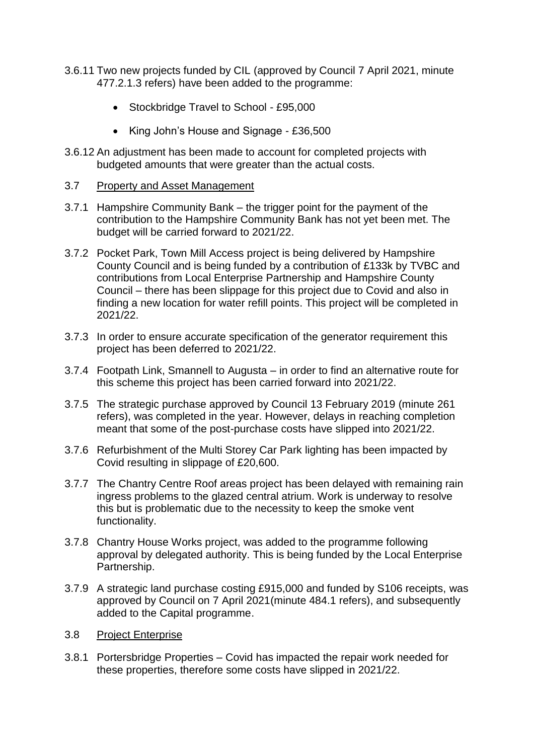- 3.6.11 Two new projects funded by CIL (approved by Council 7 April 2021, minute 477.2.1.3 refers) have been added to the programme:
	- Stockbridge Travel to School £95,000
	- King John's House and Signage £36,500
- 3.6.12 An adjustment has been made to account for completed projects with budgeted amounts that were greater than the actual costs.
- 3.7 Property and Asset Management
- 3.7.1 Hampshire Community Bank the trigger point for the payment of the contribution to the Hampshire Community Bank has not yet been met. The budget will be carried forward to 2021/22.
- 3.7.2 Pocket Park, Town Mill Access project is being delivered by Hampshire County Council and is being funded by a contribution of £133k by TVBC and contributions from Local Enterprise Partnership and Hampshire County Council – there has been slippage for this project due to Covid and also in finding a new location for water refill points. This project will be completed in 2021/22.
- 3.7.3 In order to ensure accurate specification of the generator requirement this project has been deferred to 2021/22.
- 3.7.4 Footpath Link, Smannell to Augusta in order to find an alternative route for this scheme this project has been carried forward into 2021/22.
- 3.7.5 The strategic purchase approved by Council 13 February 2019 (minute 261 refers), was completed in the year. However, delays in reaching completion meant that some of the post-purchase costs have slipped into 2021/22.
- 3.7.6 Refurbishment of the Multi Storey Car Park lighting has been impacted by Covid resulting in slippage of £20,600.
- 3.7.7 The Chantry Centre Roof areas project has been delayed with remaining rain ingress problems to the glazed central atrium. Work is underway to resolve this but is problematic due to the necessity to keep the smoke vent functionality.
- 3.7.8 Chantry House Works project, was added to the programme following approval by delegated authority. This is being funded by the Local Enterprise Partnership.
- 3.7.9 A strategic land purchase costing £915,000 and funded by S106 receipts, was approved by Council on 7 April 2021(minute 484.1 refers), and subsequently added to the Capital programme.
- 3.8 Project Enterprise
- 3.8.1 Portersbridge Properties Covid has impacted the repair work needed for these properties, therefore some costs have slipped in 2021/22.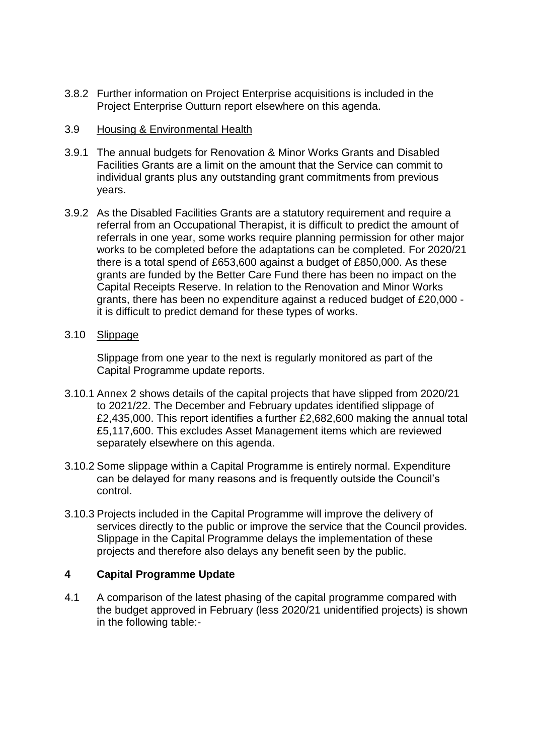3.8.2 Further information on Project Enterprise acquisitions is included in the Project Enterprise Outturn report elsewhere on this agenda.

#### 3.9 Housing & Environmental Health

- 3.9.1 The annual budgets for Renovation & Minor Works Grants and Disabled Facilities Grants are a limit on the amount that the Service can commit to individual grants plus any outstanding grant commitments from previous years.
- 3.9.2 As the Disabled Facilities Grants are a statutory requirement and require a referral from an Occupational Therapist, it is difficult to predict the amount of referrals in one year, some works require planning permission for other major works to be completed before the adaptations can be completed. For 2020/21 there is a total spend of £653,600 against a budget of £850,000. As these grants are funded by the Better Care Fund there has been no impact on the Capital Receipts Reserve. In relation to the Renovation and Minor Works grants, there has been no expenditure against a reduced budget of £20,000 it is difficult to predict demand for these types of works.
- 3.10 Slippage

Slippage from one year to the next is regularly monitored as part of the Capital Programme update reports.

- 3.10.1 Annex 2 shows details of the capital projects that have slipped from 2020/21 to 2021/22. The December and February updates identified slippage of £2,435,000. This report identifies a further £2,682,600 making the annual total £5,117,600. This excludes Asset Management items which are reviewed separately elsewhere on this agenda.
- 3.10.2 Some slippage within a Capital Programme is entirely normal. Expenditure can be delayed for many reasons and is frequently outside the Council's control.
- 3.10.3 Projects included in the Capital Programme will improve the delivery of services directly to the public or improve the service that the Council provides. Slippage in the Capital Programme delays the implementation of these projects and therefore also delays any benefit seen by the public.

# **4 Capital Programme Update**

4.1 A comparison of the latest phasing of the capital programme compared with the budget approved in February (less 2020/21 unidentified projects) is shown in the following table:-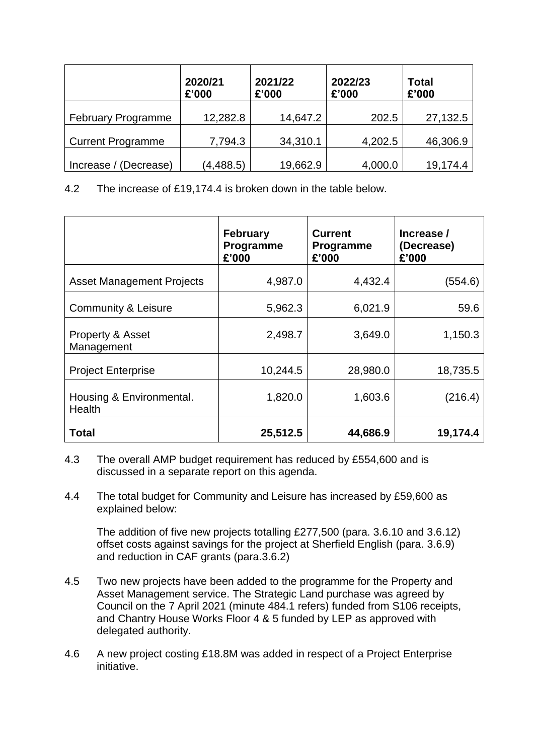|                           | 2020/21<br>£'000 | 2021/22<br>£'000 | 2022/23<br>£'000 | <b>Total</b><br>£'000 |
|---------------------------|------------------|------------------|------------------|-----------------------|
| <b>February Programme</b> | 12,282.8         | 14,647.2         | 202.5            | 27,132.5              |
| <b>Current Programme</b>  | 7,794.3          | 34,310.1         | 4,202.5          | 46,306.9              |
| Increase / (Decrease)     | (4, 488.5)       | 19,662.9         | 4,000.0          | 19,174.4              |

4.2 The increase of £19,174.4 is broken down in the table below.

|                                           | <b>February</b><br>Programme<br>£'000 | <b>Current</b><br>Programme<br>£'000 | Increase /<br>(Decrease)<br>£'000 |
|-------------------------------------------|---------------------------------------|--------------------------------------|-----------------------------------|
| <b>Asset Management Projects</b>          | 4,987.0                               | 4,432.4                              | (554.6)                           |
| <b>Community &amp; Leisure</b>            | 5,962.3                               | 6,021.9                              | 59.6                              |
| Property & Asset<br>Management            | 2,498.7                               | 3,649.0                              | 1,150.3                           |
| <b>Project Enterprise</b>                 | 10,244.5                              | 28,980.0                             | 18,735.5                          |
| Housing & Environmental.<br><b>Health</b> | 1,820.0                               | 1,603.6                              | (216.4)                           |
| <b>Total</b>                              | 25,512.5                              | 44,686.9                             | 19,174.4                          |

- 4.3 The overall AMP budget requirement has reduced by £554,600 and is discussed in a separate report on this agenda.
- 4.4 The total budget for Community and Leisure has increased by £59,600 as explained below:

The addition of five new projects totalling £277,500 (para. 3.6.10 and 3.6.12) offset costs against savings for the project at Sherfield English (para. 3.6.9) and reduction in CAF grants (para.3.6.2)

- 4.5 Two new projects have been added to the programme for the Property and Asset Management service. The Strategic Land purchase was agreed by Council on the 7 April 2021 (minute 484.1 refers) funded from S106 receipts, and Chantry House Works Floor 4 & 5 funded by LEP as approved with delegated authority.
- 4.6 A new project costing £18.8M was added in respect of a Project Enterprise initiative.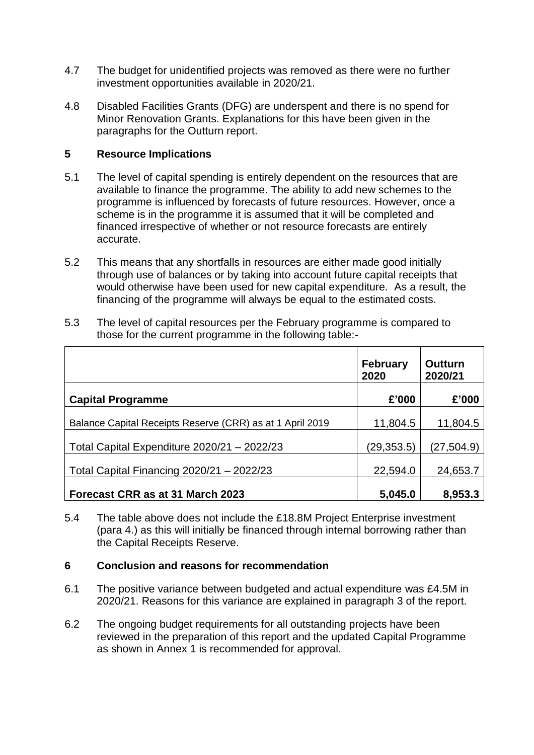- 4.7 The budget for unidentified projects was removed as there were no further investment opportunities available in 2020/21.
- 4.8 Disabled Facilities Grants (DFG) are underspent and there is no spend for Minor Renovation Grants. Explanations for this have been given in the paragraphs for the Outturn report.

# **5 Resource Implications**

- 5.1 The level of capital spending is entirely dependent on the resources that are available to finance the programme. The ability to add new schemes to the programme is influenced by forecasts of future resources. However, once a scheme is in the programme it is assumed that it will be completed and financed irrespective of whether or not resource forecasts are entirely accurate.
- 5.2 This means that any shortfalls in resources are either made good initially through use of balances or by taking into account future capital receipts that would otherwise have been used for new capital expenditure. As a result, the financing of the programme will always be equal to the estimated costs.
- 5.3 The level of capital resources per the February programme is compared to those for the current programme in the following table:-

|                                                           | <b>February</b><br>2020 | <b>Outturn</b><br>2020/21 |
|-----------------------------------------------------------|-------------------------|---------------------------|
| <b>Capital Programme</b>                                  | £'000                   | £'000                     |
| Balance Capital Receipts Reserve (CRR) as at 1 April 2019 | 11,804.5                | 11,804.5                  |
| Total Capital Expenditure 2020/21 - 2022/23               | (29,353.5)              | (27,504.9)                |
| Total Capital Financing 2020/21 - 2022/23                 | 22,594.0                | 24,653.7                  |
| Forecast CRR as at 31 March 2023                          | 5,045.0                 | 8,953.3                   |

5.4 The table above does not include the £18.8M Project Enterprise investment (para 4.) as this will initially be financed through internal borrowing rather than the Capital Receipts Reserve.

#### **6 Conclusion and reasons for recommendation**

- 6.1 The positive variance between budgeted and actual expenditure was £4.5M in 2020/21. Reasons for this variance are explained in paragraph 3 of the report.
- 6.2 The ongoing budget requirements for all outstanding projects have been reviewed in the preparation of this report and the updated Capital Programme as shown in Annex 1 is recommended for approval.